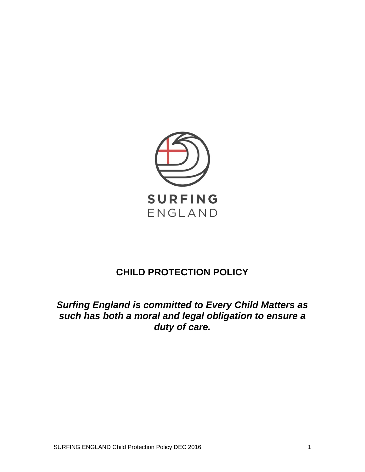

## **CHILD PROTECTION POLICY**

*Surfing England is committed to Every Child Matters as such has both a moral and legal obligation to ensure a duty of care.*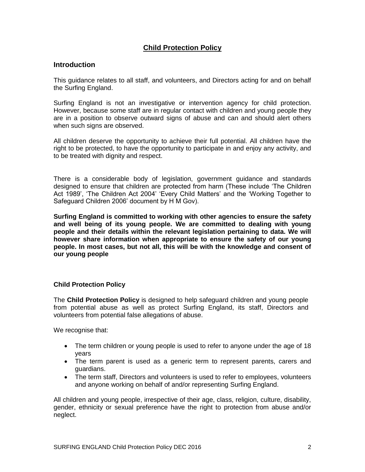### **Child Protection Policy**

### **Introduction**

This guidance relates to all staff, and volunteers, and Directors acting for and on behalf the Surfing England.

Surfing England is not an investigative or intervention agency for child protection. However, because some staff are in regular contact with children and young people they are in a position to observe outward signs of abuse and can and should alert others when such signs are observed.

All children deserve the opportunity to achieve their full potential. All children have the right to be protected, to have the opportunity to participate in and enjoy any activity, and to be treated with dignity and respect.

There is a considerable body of legislation, government guidance and standards designed to ensure that children are protected from harm (These include 'The Children Act 1989', 'The Children Act 2004' 'Every Child Matters' and the 'Working Together to Safeguard Children 2006' document by H M Gov).

**Surfing England is committed to working with other agencies to ensure the safety and well being of its young people. We are committed to dealing with young people and their details within the relevant legislation pertaining to data. We will however share information when appropriate to ensure the safety of our young people. In most cases, but not all, this will be with the knowledge and consent of our young people**

### **Child Protection Policy**

The **Child Protection Policy** is designed to help safeguard children and young people from potential abuse as well as protect Surfing England, its staff, Directors and volunteers from potential false allegations of abuse.

We recognise that:

- The term children or young people is used to refer to anyone under the age of 18 years
- The term parent is used as a generic term to represent parents, carers and guardians.
- The term staff, Directors and volunteers is used to refer to employees, volunteers and anyone working on behalf of and/or representing Surfing England.

All children and young people, irrespective of their age, class, religion, culture, disability, gender, ethnicity or sexual preference have the right to protection from abuse and/or neglect.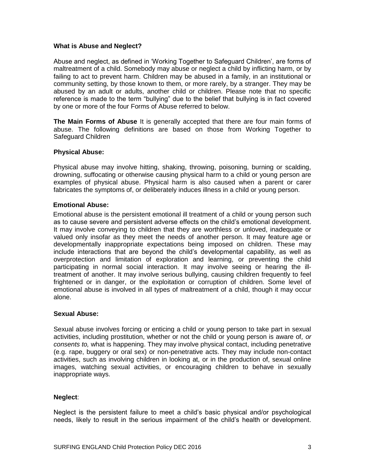### **What is Abuse and Neglect?**

Abuse and neglect, as defined in 'Working Together to Safeguard Children', are forms of maltreatment of a child. Somebody may abuse or neglect a child by inflicting harm, or by failing to act to prevent harm. Children may be abused in a family, in an institutional or community setting, by those known to them, or more rarely, by a stranger. They may be abused by an adult or adults, another child or children. Please note that no specific reference is made to the term "bullying" due to the belief that bullying is in fact covered by one or more of the four Forms of Abuse referred to below.

**The Main Forms of Abuse** It is generally accepted that there are four main forms of abuse. The following definitions are based on those from Working Together to Safeguard Children

### **Physical Abuse:**

Physical abuse may involve hitting, shaking, throwing, poisoning, burning or scalding, drowning, suffocating or otherwise causing physical harm to a child or young person are examples of physical abuse. Physical harm is also caused when a parent or carer fabricates the symptoms of, or deliberately induces illness in a child or young person.

### **Emotional Abuse:**

Emotional abuse is the persistent emotional ill treatment of a child or young person such as to cause severe and persistent adverse effects on the child's emotional development. It may involve conveying to children that they are worthless or unloved, inadequate or valued only insofar as they meet the needs of another person. It may feature age or developmentally inappropriate expectations being imposed on children. These may include interactions that are beyond the child's developmental capability, as well as overprotection and limitation of exploration and learning, or preventing the child participating in normal social interaction. It may involve seeing or hearing the illtreatment of another. It may involve serious bullying, causing children frequently to feel frightened or in danger, or the exploitation or corruption of children. Some level of emotional abuse is involved in all types of maltreatment of a child, though it may occur alone.

### **Sexual Abuse:**

Sexual abuse involves forcing or enticing a child or young person to take part in sexual activities, including prostitution, whether or not the child or young person is aware of*, or consents to,* what is happening. They may involve physical contact, including penetrative (e.g. rape, buggery or oral sex) or non-penetrative acts. They may include non-contact activities, such as involving children in looking at, or in the production of, sexual online images, watching sexual activities, or encouraging children to behave in sexually inappropriate ways.

### **Neglect**:

Neglect is the persistent failure to meet a child's basic physical and/or psychological needs, likely to result in the serious impairment of the child's health or development.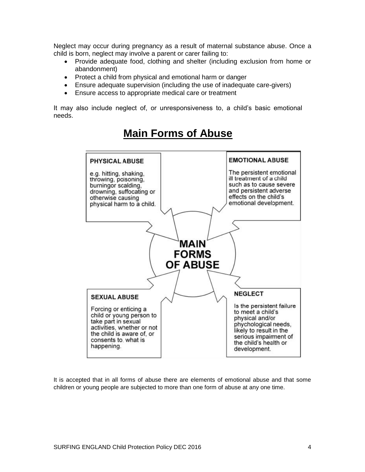Neglect may occur during pregnancy as a result of maternal substance abuse. Once a child is born, neglect may involve a parent or carer failing to:

- Provide adequate food, clothing and shelter (including exclusion from home or abandonment)
- Protect a child from physical and emotional harm or danger
- Ensure adequate supervision (including the use of inadequate care-givers)
- Ensure access to appropriate medical care or treatment

It may also include neglect of, or unresponsiveness to, a child's basic emotional needs.



## **Main Forms of Abuse**

It is accepted that in all forms of abuse there are elements of emotional abuse and that some children or young people are subjected to more than one form of abuse at any one time.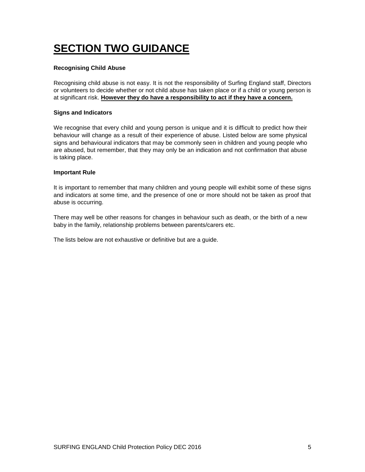# **SECTION TWO GUIDANCE**

### **Recognising Child Abuse**

Recognising child abuse is not easy. It is not the responsibility of Surfing England staff, Directors or volunteers to decide whether or not child abuse has taken place or if a child or young person is at significant risk. **However they do have a responsibility to act if they have a concern.** 

### **Signs and Indicators**

We recognise that every child and young person is unique and it is difficult to predict how their behaviour will change as a result of their experience of abuse. Listed below are some physical signs and behavioural indicators that may be commonly seen in children and young people who are abused, but remember, that they may only be an indication and not confirmation that abuse is taking place.

### **Important Rule**

It is important to remember that many children and young people will exhibit some of these signs and indicators at some time, and the presence of one or more should not be taken as proof that abuse is occurring.

There may well be other reasons for changes in behaviour such as death, or the birth of a new baby in the family, relationship problems between parents/carers etc.

The lists below are not exhaustive or definitive but are a guide.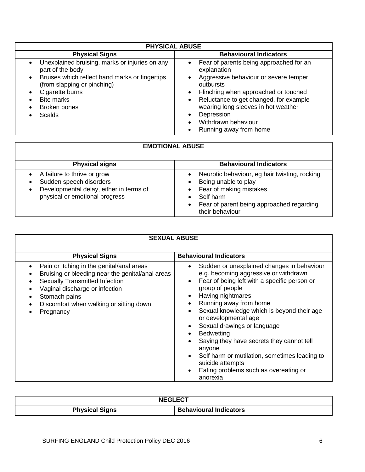| <b>PHYSICAL ABUSE</b>                                                                                                                                                                                                       |                                                                                                                                                                                                                                                                                                                                |  |  |  |
|-----------------------------------------------------------------------------------------------------------------------------------------------------------------------------------------------------------------------------|--------------------------------------------------------------------------------------------------------------------------------------------------------------------------------------------------------------------------------------------------------------------------------------------------------------------------------|--|--|--|
| <b>Physical Signs</b>                                                                                                                                                                                                       | <b>Behavioural Indicators</b>                                                                                                                                                                                                                                                                                                  |  |  |  |
| Unexplained bruising, marks or injuries on any<br>$\bullet$<br>part of the body<br>Bruises which reflect hand marks or fingertips<br>(from slapping or pinching)<br>Cigarette burns<br>Bite marks<br>Broken bones<br>Scalds | Fear of parents being approached for an<br>$\bullet$<br>explanation<br>Aggressive behaviour or severe temper<br>outbursts<br>Flinching when approached or touched<br>$\bullet$<br>Reluctance to get changed, for example<br>wearing long sleeves in hot weather<br>Depression<br>Withdrawn behaviour<br>Running away from home |  |  |  |

| <b>EMOTIONAL ABUSE</b>                                                                                                                   |                                                                                                                                                                                            |  |  |  |
|------------------------------------------------------------------------------------------------------------------------------------------|--------------------------------------------------------------------------------------------------------------------------------------------------------------------------------------------|--|--|--|
| <b>Physical signs</b>                                                                                                                    | <b>Behavioural Indicators</b>                                                                                                                                                              |  |  |  |
| A failure to thrive or grow<br>Sudden speech disorders<br>Developmental delay, either in terms of<br>٠<br>physical or emotional progress | Neurotic behaviour, eg hair twisting, rocking<br>Being unable to play<br>Fear of making mistakes<br>Self harm<br>Fear of parent being approached regarding<br>$\bullet$<br>their behaviour |  |  |  |

| <b>SEXUAL ABUSE</b>                                                                                                                                                                                                                                                         |                                                                                                                                                                                                                                                                                                                                                                                                                                                                                                                                                                      |  |  |  |
|-----------------------------------------------------------------------------------------------------------------------------------------------------------------------------------------------------------------------------------------------------------------------------|----------------------------------------------------------------------------------------------------------------------------------------------------------------------------------------------------------------------------------------------------------------------------------------------------------------------------------------------------------------------------------------------------------------------------------------------------------------------------------------------------------------------------------------------------------------------|--|--|--|
| <b>Physical Signs</b>                                                                                                                                                                                                                                                       | <b>Behavioural Indicators</b>                                                                                                                                                                                                                                                                                                                                                                                                                                                                                                                                        |  |  |  |
| Pain or itching in the genital/anal areas<br>$\bullet$<br>Bruising or bleeding near the genital/anal areas<br><b>Sexually Transmitted Infection</b><br>Vaginal discharge or infection<br>Stomach pains<br>$\bullet$<br>Discomfort when walking or sitting down<br>Pregnancy | Sudden or unexplained changes in behaviour<br>$\bullet$<br>e.g. becoming aggressive or withdrawn<br>Fear of being left with a specific person or<br>$\bullet$<br>group of people<br>Having nightmares<br>Running away from home<br>Sexual knowledge which is beyond their age<br>or developmental age<br>Sexual drawings or language<br>$\bullet$<br><b>Bedwetting</b><br>$\bullet$<br>Saying they have secrets they cannot tell<br>anyone<br>Self harm or mutilation, sometimes leading to<br>suicide attempts<br>Eating problems such as overeating or<br>anorexia |  |  |  |

| <b>NEGLECT</b>        |                               |  |  |
|-----------------------|-------------------------------|--|--|
| <b>Physical Signs</b> | <b>Behavioural Indicators</b> |  |  |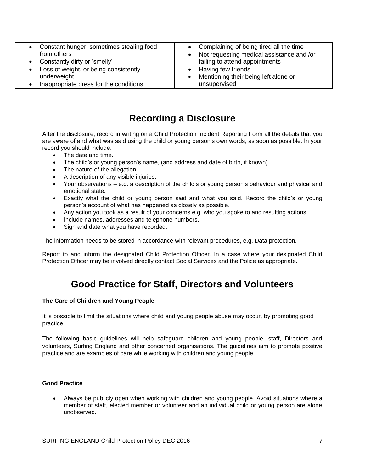- Constant hunger, sometimes stealing food from others
- Constantly dirty or 'smelly'
- Loss of weight, or being consistently underweight
- Inappropriate dress for the conditions
- Complaining of being tired all the time
- Not requesting medical assistance and /or failing to attend appointments
- Having few friends
- Mentioning their being left alone or unsupervised

## **Recording a Disclosure**

After the disclosure, record in writing on a Child Protection Incident Reporting Form all the details that you are aware of and what was said using the child or young person's own words, as soon as possible. In your record you should include:

- The date and time.
- The child's or young person's name, (and address and date of birth, if known)
- The nature of the allegation.
- A description of any visible injuries.
- Your observations e.g. a description of the child's or young person's behaviour and physical and emotional state.
- Exactly what the child or young person said and what you said. Record the child's or young person's account of what has happened as closely as possible.
- Any action you took as a result of your concerns e.g. who you spoke to and resulting actions.
- Include names, addresses and telephone numbers.
- Sign and date what you have recorded.

The information needs to be stored in accordance with relevant procedures, e.g. Data protection.

Report to and inform the designated Child Protection Officer. In a case where your designated Child Protection Officer may be involved directly contact Social Services and the Police as appropriate.

## **Good Practice for Staff, Directors and Volunteers**

### **The Care of Children and Young People**

It is possible to limit the situations where child and young people abuse may occur, by promoting good practice.

The following basic guidelines will help safeguard children and young people, staff, Directors and volunteers, Surfing England and other concerned organisations. The guidelines aim to promote positive practice and are examples of care while working with children and young people.

### **Good Practice**

 Always be publicly open when working with children and young people. Avoid situations where a member of staff, elected member or volunteer and an individual child or young person are alone unobserved.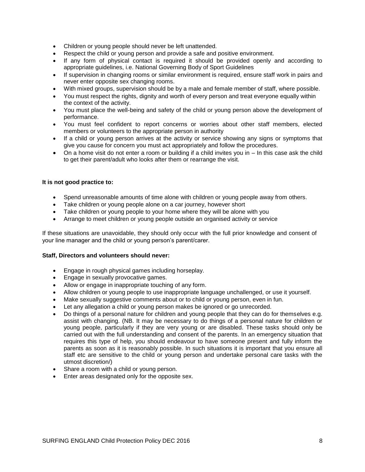- Children or young people should never be left unattended.
- Respect the child or young person and provide a safe and positive environment.
- If any form of physical contact is required it should be provided openly and according to appropriate guidelines, i.e. National Governing Body of Sport Guidelines
- If supervision in changing rooms or similar environment is required, ensure staff work in pairs and never enter opposite sex changing rooms.
- With mixed groups, supervision should be by a male and female member of staff, where possible.
- You must respect the rights, dignity and worth of every person and treat everyone equally within the context of the activity.
- You must place the well-being and safety of the child or young person above the development of performance.
- You must feel confident to report concerns or worries about other staff members, elected members or volunteers to the appropriate person in authority
- If a child or young person arrives at the activity or service showing any signs or symptoms that give you cause for concern you must act appropriately and follow the procedures.
- On a home visit do not enter a room or building if a child invites you in In this case ask the child to get their parent/adult who looks after them or rearrange the visit.

### **It is not good practice to:**

- Spend unreasonable amounts of time alone with children or young people away from others.
- Take children or young people alone on a car journey, however short
- Take children or young people to your home where they will be alone with you
- Arrange to meet children or young people outside an organised activity or service

If these situations are unavoidable, they should only occur with the full prior knowledge and consent of your line manager and the child or young person's parent/carer.

### **Staff, Directors and volunteers should never:**

- Engage in rough physical games including horseplay.
- Engage in sexually provocative games.
- Allow or engage in inappropriate touching of any form.
- Allow children or young people to use inappropriate language unchallenged, or use it yourself.
- Make sexually suggestive comments about or to child or young person, even in fun.
- Let any allegation a child or young person makes be ignored or go unrecorded.
- Do things of a personal nature for children and young people that they can do for themselves e.g. assist with changing. (NB. It may be necessary to do things of a personal nature for children or young people, particularly if they are very young or are disabled. These tasks should only be carried out with the full understanding and consent of the parents. In an emergency situation that requires this type of help, you should endeavour to have someone present and fully inform the parents as soon as it is reasonably possible. In such situations it is important that you ensure all staff etc are sensitive to the child or young person and undertake personal care tasks with the utmost discretion/)
- Share a room with a child or young person.
- Enter areas designated only for the opposite sex.